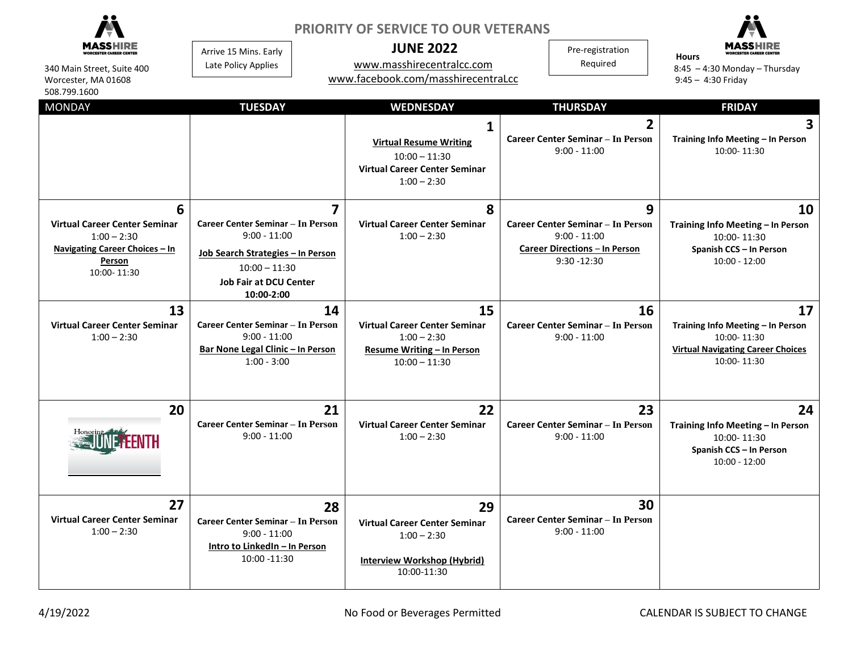